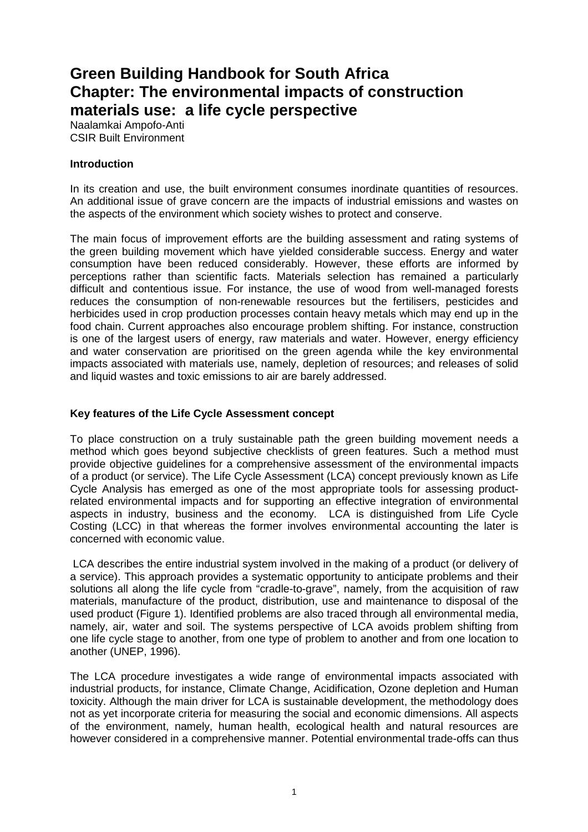# **Green Building Handbook for South Africa Chapter: The environmental impacts of construction materials use: a life cycle perspective**

Naalamkai Ampofo-Anti CSIR Built Environment

#### **Introduction**

In its creation and use, the built environment consumes inordinate quantities of resources. An additional issue of grave concern are the impacts of industrial emissions and wastes on the aspects of the environment which society wishes to protect and conserve.

The main focus of improvement efforts are the building assessment and rating systems of the green building movement which have yielded considerable success. Energy and water consumption have been reduced considerably. However, these efforts are informed by perceptions rather than scientific facts. Materials selection has remained a particularly difficult and contentious issue. For instance, the use of wood from well-managed forests reduces the consumption of non-renewable resources but the fertilisers, pesticides and herbicides used in crop production processes contain heavy metals which may end up in the food chain. Current approaches also encourage problem shifting. For instance, construction is one of the largest users of energy, raw materials and water. However, energy efficiency and water conservation are prioritised on the green agenda while the key environmental impacts associated with materials use, namely, depletion of resources; and releases of solid and liquid wastes and toxic emissions to air are barely addressed.

#### **Key features of the Life Cycle Assessment concept**

To place construction on a truly sustainable path the green building movement needs a method which goes beyond subjective checklists of green features. Such a method must provide objective guidelines for a comprehensive assessment of the environmental impacts of a product (or service). The Life Cycle Assessment (LCA) concept previously known as Life Cycle Analysis has emerged as one of the most appropriate tools for assessing productrelated environmental impacts and for supporting an effective integration of environmental aspects in industry, business and the economy. LCA is distinguished from Life Cycle Costing (LCC) in that whereas the former involves environmental accounting the later is concerned with economic value.

 LCA describes the entire industrial system involved in the making of a product (or delivery of a service). This approach provides a systematic opportunity to anticipate problems and their solutions all along the life cycle from "cradle-to-grave", namely, from the acquisition of raw materials, manufacture of the product, distribution, use and maintenance to disposal of the used product (Figure 1). Identified problems are also traced through all environmental media, namely, air, water and soil. The systems perspective of LCA avoids problem shifting from one life cycle stage to another, from one type of problem to another and from one location to another (UNEP, 1996).

The LCA procedure investigates a wide range of environmental impacts associated with industrial products, for instance, Climate Change, Acidification, Ozone depletion and Human toxicity. Although the main driver for LCA is sustainable development, the methodology does not as yet incorporate criteria for measuring the social and economic dimensions. All aspects of the environment, namely, human health, ecological health and natural resources are however considered in a comprehensive manner. Potential environmental trade-offs can thus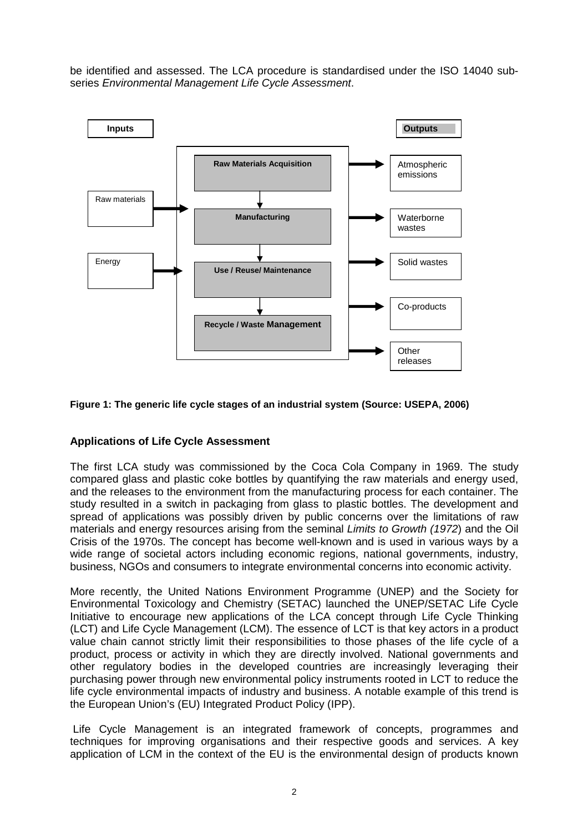be identified and assessed. The LCA procedure is standardised under the ISO 14040 subseries Environmental Management Life Cycle Assessment.



**Figure 1: The generic life cycle stages of an industrial system (Source: USEPA, 2006)** 

## **Applications of Life Cycle Assessment**

The first LCA study was commissioned by the Coca Cola Company in 1969. The study compared glass and plastic coke bottles by quantifying the raw materials and energy used, and the releases to the environment from the manufacturing process for each container. The study resulted in a switch in packaging from glass to plastic bottles. The development and spread of applications was possibly driven by public concerns over the limitations of raw materials and energy resources arising from the seminal Limits to Growth (1972) and the Oil Crisis of the 1970s. The concept has become well-known and is used in various ways by a wide range of societal actors including economic regions, national governments, industry, business, NGOs and consumers to integrate environmental concerns into economic activity.

More recently, the United Nations Environment Programme (UNEP) and the Society for Environmental Toxicology and Chemistry (SETAC) launched the UNEP/SETAC Life Cycle Initiative to encourage new applications of the LCA concept through Life Cycle Thinking (LCT) and Life Cycle Management (LCM). The essence of LCT is that key actors in a product value chain cannot strictly limit their responsibilities to those phases of the life cycle of a product, process or activity in which they are directly involved. National governments and other regulatory bodies in the developed countries are increasingly leveraging their purchasing power through new environmental policy instruments rooted in LCT to reduce the life cycle environmental impacts of industry and business. A notable example of this trend is the European Union's (EU) Integrated Product Policy (IPP).

 Life Cycle Management is an integrated framework of concepts, programmes and techniques for improving organisations and their respective goods and services. A key application of LCM in the context of the EU is the environmental design of products known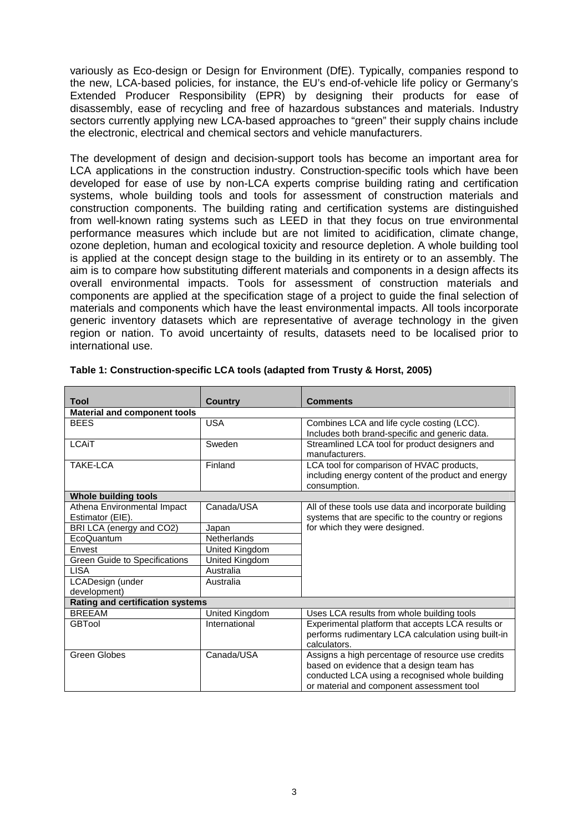variously as Eco-design or Design for Environment (DfE). Typically, companies respond to the new, LCA-based policies, for instance, the EU's end-of-vehicle life policy or Germany's Extended Producer Responsibility (EPR) by designing their products for ease of disassembly, ease of recycling and free of hazardous substances and materials. Industry sectors currently applying new LCA-based approaches to "green" their supply chains include the electronic, electrical and chemical sectors and vehicle manufacturers.

The development of design and decision-support tools has become an important area for LCA applications in the construction industry. Construction-specific tools which have been developed for ease of use by non-LCA experts comprise building rating and certification systems, whole building tools and tools for assessment of construction materials and construction components. The building rating and certification systems are distinguished from well-known rating systems such as LEED in that they focus on true environmental performance measures which include but are not limited to acidification, climate change, ozone depletion, human and ecological toxicity and resource depletion. A whole building tool is applied at the concept design stage to the building in its entirety or to an assembly. The aim is to compare how substituting different materials and components in a design affects its overall environmental impacts. Tools for assessment of construction materials and components are applied at the specification stage of a project to guide the final selection of materials and components which have the least environmental impacts. All tools incorporate generic inventory datasets which are representative of average technology in the given region or nation. To avoid uncertainty of results, datasets need to be localised prior to international use.

| <b>Tool</b>                                     | <b>Country</b> | <b>Comments</b>                                                                                                                                                                               |  |  |  |
|-------------------------------------------------|----------------|-----------------------------------------------------------------------------------------------------------------------------------------------------------------------------------------------|--|--|--|
| <b>Material and component tools</b>             |                |                                                                                                                                                                                               |  |  |  |
| <b>BEES</b>                                     | <b>USA</b>     | Combines LCA and life cycle costing (LCC).<br>Includes both brand-specific and generic data.                                                                                                  |  |  |  |
| <b>LCAiT</b>                                    | Sweden         | Streamlined LCA tool for product designers and<br>manufacturers.                                                                                                                              |  |  |  |
| TAKE-LCA                                        | Finland        | LCA tool for comparison of HVAC products,<br>including energy content of the product and energy<br>consumption.                                                                               |  |  |  |
| <b>Whole building tools</b>                     |                |                                                                                                                                                                                               |  |  |  |
| Athena Environmental Impact<br>Estimator (EIE). | Canada/USA     | All of these tools use data and incorporate building<br>systems that are specific to the country or regions                                                                                   |  |  |  |
| BRI LCA (energy and CO2)                        | Japan          | for which they were designed.                                                                                                                                                                 |  |  |  |
| EcoQuantum                                      | Netherlands    |                                                                                                                                                                                               |  |  |  |
| Envest                                          | United Kingdom |                                                                                                                                                                                               |  |  |  |
| <b>Green Guide to Specifications</b>            | United Kingdom |                                                                                                                                                                                               |  |  |  |
| <b>LISA</b>                                     | Australia      |                                                                                                                                                                                               |  |  |  |
| LCADesign (under                                | Australia      |                                                                                                                                                                                               |  |  |  |
| development)                                    |                |                                                                                                                                                                                               |  |  |  |
| <b>Rating and certification systems</b>         |                |                                                                                                                                                                                               |  |  |  |
| <b>BRFFAM</b>                                   | United Kingdom | Uses LCA results from whole building tools                                                                                                                                                    |  |  |  |
| GBTool                                          | International  | Experimental platform that accepts LCA results or<br>performs rudimentary LCA calculation using built-in<br>calculators.                                                                      |  |  |  |
| Green Globes                                    | Canada/USA     | Assigns a high percentage of resource use credits<br>based on evidence that a design team has<br>conducted LCA using a recognised whole building<br>or material and component assessment tool |  |  |  |

| Table 1: Construction-specific LCA tools (adapted from Trusty & Horst, 2005) |
|------------------------------------------------------------------------------|
|------------------------------------------------------------------------------|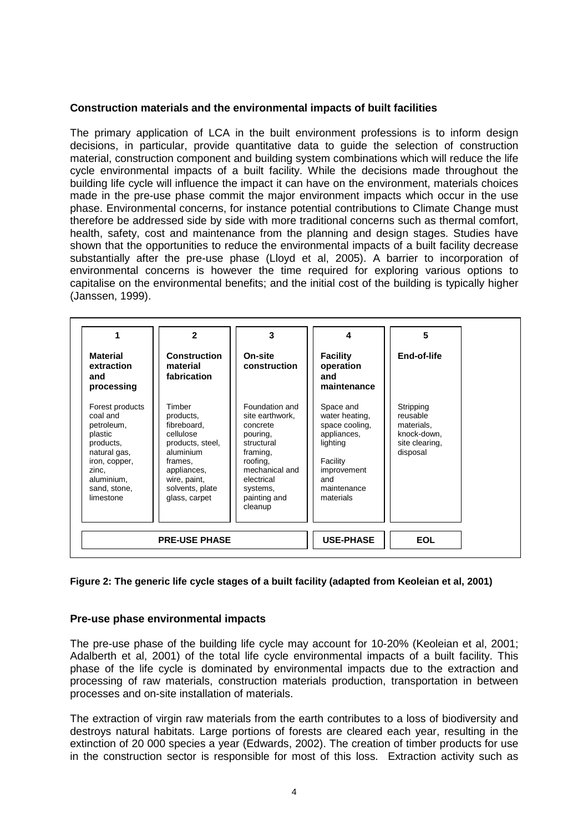#### **Construction materials and the environmental impacts of built facilities**

The primary application of LCA in the built environment professions is to inform design decisions, in particular, provide quantitative data to guide the selection of construction material, construction component and building system combinations which will reduce the life cycle environmental impacts of a built facility. While the decisions made throughout the building life cycle will influence the impact it can have on the environment, materials choices made in the pre-use phase commit the major environment impacts which occur in the use phase. Environmental concerns, for instance potential contributions to Climate Change must therefore be addressed side by side with more traditional concerns such as thermal comfort, health, safety, cost and maintenance from the planning and design stages. Studies have shown that the opportunities to reduce the environmental impacts of a built facility decrease substantially after the pre-use phase (Lloyd et al, 2005). A barrier to incorporation of environmental concerns is however the time required for exploring various options to capitalise on the environmental benefits; and the initial cost of the building is typically higher (Janssen, 1999).

| <b>Material</b><br>extraction<br>and<br>processing                                                                                                     | $\mathbf{z}$<br><b>Construction</b><br>material<br>fabrication                                                                                                 | 3<br>On-site<br>construction                                                                                                                                           | 4<br><b>Facility</b><br>operation<br>and<br>maintenance                                                                                | 5<br>End-of-life                                                                 |
|--------------------------------------------------------------------------------------------------------------------------------------------------------|----------------------------------------------------------------------------------------------------------------------------------------------------------------|------------------------------------------------------------------------------------------------------------------------------------------------------------------------|----------------------------------------------------------------------------------------------------------------------------------------|----------------------------------------------------------------------------------|
| Forest products<br>coal and<br>petroleum,<br>plastic<br>products.<br>natural gas,<br>iron, copper,<br>zinc,<br>aluminium.<br>sand, stone,<br>limestone | Timber<br>products,<br>fibreboard.<br>cellulose<br>products, steel,<br>aluminium<br>frames.<br>appliances,<br>wire, paint,<br>solvents, plate<br>glass, carpet | Foundation and<br>site earthwork,<br>concrete<br>pouring,<br>structural<br>framing,<br>roofing.<br>mechanical and<br>electrical<br>systems,<br>painting and<br>cleanup | Space and<br>water heating,<br>space cooling,<br>appliances,<br>lighting<br>Facility<br>improvement<br>and<br>maintenance<br>materials | Stripping<br>reusable<br>materials,<br>knock-down,<br>site clearing,<br>disposal |
|                                                                                                                                                        | <b>PRE-USE PHASE</b>                                                                                                                                           |                                                                                                                                                                        | <b>USE-PHASE</b>                                                                                                                       | <b>EOL</b>                                                                       |

#### **Figure 2: The generic life cycle stages of a built facility (adapted from Keoleian et al, 2001)**

## **Pre-use phase environmental impacts**

The pre-use phase of the building life cycle may account for 10-20% (Keoleian et al, 2001; Adalberth et al, 2001) of the total life cycle environmental impacts of a built facility. This phase of the life cycle is dominated by environmental impacts due to the extraction and processing of raw materials, construction materials production, transportation in between processes and on-site installation of materials.

The extraction of virgin raw materials from the earth contributes to a loss of biodiversity and destroys natural habitats. Large portions of forests are cleared each year, resulting in the extinction of 20 000 species a year (Edwards, 2002). The creation of timber products for use in the construction sector is responsible for most of this loss. Extraction activity such as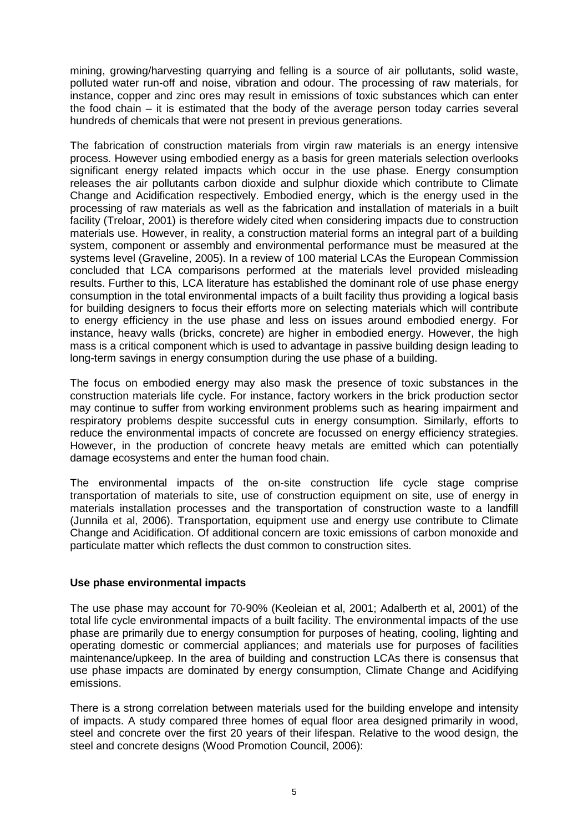mining, growing/harvesting quarrying and felling is a source of air pollutants, solid waste, polluted water run-off and noise, vibration and odour. The processing of raw materials, for instance, copper and zinc ores may result in emissions of toxic substances which can enter the food chain – it is estimated that the body of the average person today carries several hundreds of chemicals that were not present in previous generations.

The fabrication of construction materials from virgin raw materials is an energy intensive process. However using embodied energy as a basis for green materials selection overlooks significant energy related impacts which occur in the use phase. Energy consumption releases the air pollutants carbon dioxide and sulphur dioxide which contribute to Climate Change and Acidification respectively. Embodied energy, which is the energy used in the processing of raw materials as well as the fabrication and installation of materials in a built facility (Treloar, 2001) is therefore widely cited when considering impacts due to construction materials use. However, in reality, a construction material forms an integral part of a building system, component or assembly and environmental performance must be measured at the systems level (Graveline, 2005). In a review of 100 material LCAs the European Commission concluded that LCA comparisons performed at the materials level provided misleading results. Further to this, LCA literature has established the dominant role of use phase energy consumption in the total environmental impacts of a built facility thus providing a logical basis for building designers to focus their efforts more on selecting materials which will contribute to energy efficiency in the use phase and less on issues around embodied energy. For instance, heavy walls (bricks, concrete) are higher in embodied energy. However, the high mass is a critical component which is used to advantage in passive building design leading to long-term savings in energy consumption during the use phase of a building.

The focus on embodied energy may also mask the presence of toxic substances in the construction materials life cycle. For instance, factory workers in the brick production sector may continue to suffer from working environment problems such as hearing impairment and respiratory problems despite successful cuts in energy consumption. Similarly, efforts to reduce the environmental impacts of concrete are focussed on energy efficiency strategies. However, in the production of concrete heavy metals are emitted which can potentially damage ecosystems and enter the human food chain.

The environmental impacts of the on-site construction life cycle stage comprise transportation of materials to site, use of construction equipment on site, use of energy in materials installation processes and the transportation of construction waste to a landfill (Junnila et al, 2006). Transportation, equipment use and energy use contribute to Climate Change and Acidification. Of additional concern are toxic emissions of carbon monoxide and particulate matter which reflects the dust common to construction sites.

## **Use phase environmental impacts**

The use phase may account for 70-90% (Keoleian et al, 2001; Adalberth et al, 2001) of the total life cycle environmental impacts of a built facility. The environmental impacts of the use phase are primarily due to energy consumption for purposes of heating, cooling, lighting and operating domestic or commercial appliances; and materials use for purposes of facilities maintenance/upkeep. In the area of building and construction LCAs there is consensus that use phase impacts are dominated by energy consumption, Climate Change and Acidifying emissions.

There is a strong correlation between materials used for the building envelope and intensity of impacts. A study compared three homes of equal floor area designed primarily in wood, steel and concrete over the first 20 years of their lifespan. Relative to the wood design, the steel and concrete designs (Wood Promotion Council, 2006):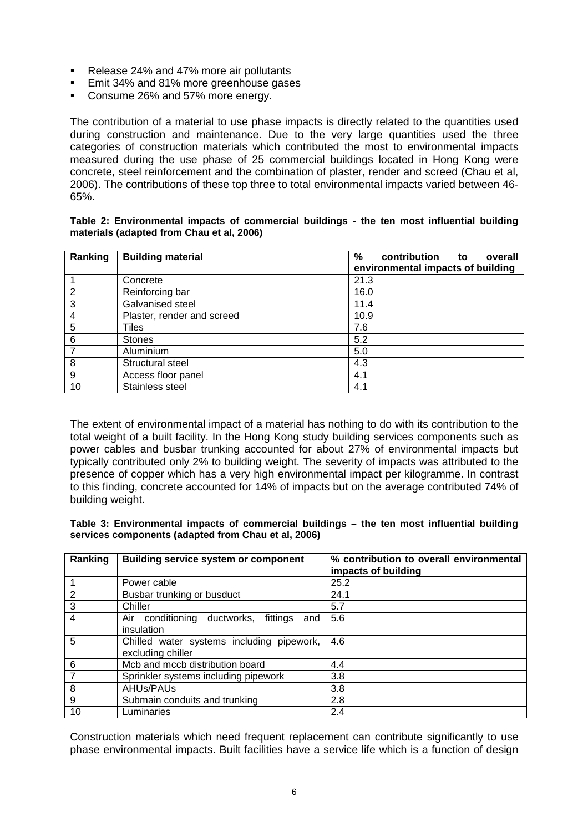- Release 24% and 47% more air pollutants
- **Emit 34% and 81% more greenhouse gases**
- Consume 26% and 57% more energy.

The contribution of a material to use phase impacts is directly related to the quantities used during construction and maintenance. Due to the very large quantities used the three categories of construction materials which contributed the most to environmental impacts measured during the use phase of 25 commercial buildings located in Hong Kong were concrete, steel reinforcement and the combination of plaster, render and screed (Chau et al, 2006). The contributions of these top three to total environmental impacts varied between 46- 65%.

#### **Table 2: Environmental impacts of commercial buildings - the ten most influential building materials (adapted from Chau et al, 2006)**

| Ranking | <b>Building material</b>   | %<br>contribution to<br>overall<br>environmental impacts of building |
|---------|----------------------------|----------------------------------------------------------------------|
|         | Concrete                   | 21.3                                                                 |
| 2       | Reinforcing bar            | 16.0                                                                 |
| 3       | Galvanised steel           | 11.4                                                                 |
| 4       | Plaster, render and screed | 10.9                                                                 |
| 5       | Tiles                      | 7.6                                                                  |
| 6       | <b>Stones</b>              | 5.2                                                                  |
| 7       | Aluminium                  | 5.0                                                                  |
| 8       | Structural steel           | 4.3                                                                  |
| 9       | Access floor panel         | 4.1                                                                  |
| 10      | Stainless steel            | 4.1                                                                  |

The extent of environmental impact of a material has nothing to do with its contribution to the total weight of a built facility. In the Hong Kong study building services components such as power cables and busbar trunking accounted for about 27% of environmental impacts but typically contributed only 2% to building weight. The severity of impacts was attributed to the presence of copper which has a very high environmental impact per kilogramme. In contrast to this finding, concrete accounted for 14% of impacts but on the average contributed 74% of building weight.

#### **Table 3: Environmental impacts of commercial buildings – the ten most influential building services components (adapted from Chau et al, 2006)**

| Ranking        | <b>Building service system or component</b>                    | % contribution to overall environmental<br>impacts of building |
|----------------|----------------------------------------------------------------|----------------------------------------------------------------|
|                | Power cable                                                    | 25.2                                                           |
| 2              | Busbar trunking or busduct                                     | 24.1                                                           |
| $\overline{3}$ | Chiller                                                        | 5.7                                                            |
| $\overline{4}$ | Air conditioning ductworks,<br>fittings<br>and<br>insulation   | 5.6                                                            |
| 5              | Chilled water systems including pipework,<br>excluding chiller | 4.6                                                            |
| 6              | Mcb and mccb distribution board                                | 4.4                                                            |
| $\overline{7}$ | Sprinkler systems including pipework                           | 3.8                                                            |
| 8              | AHUs/PAUs                                                      | 3.8                                                            |
| 9              | Submain conduits and trunking                                  | 2.8                                                            |
| 10             | Luminaries                                                     | 2.4                                                            |

Construction materials which need frequent replacement can contribute significantly to use phase environmental impacts. Built facilities have a service life which is a function of design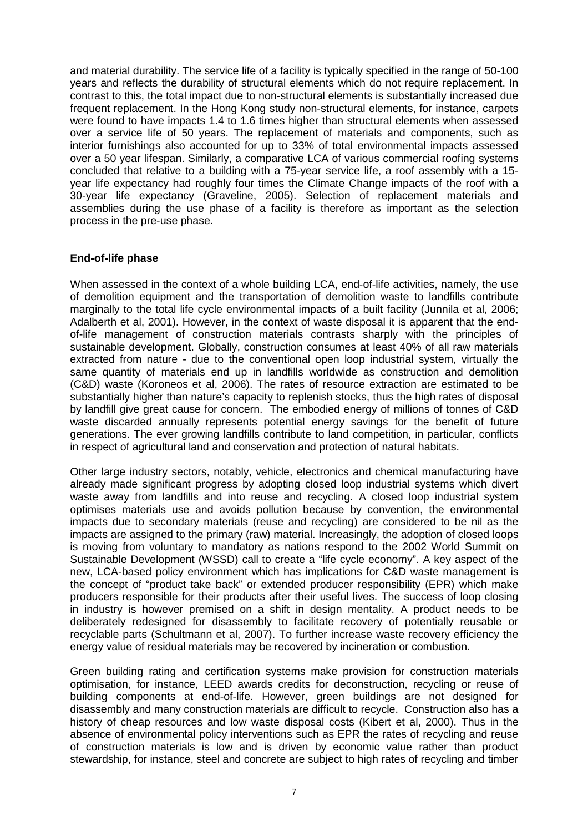and material durability. The service life of a facility is typically specified in the range of 50-100 years and reflects the durability of structural elements which do not require replacement. In contrast to this, the total impact due to non-structural elements is substantially increased due frequent replacement. In the Hong Kong study non-structural elements, for instance, carpets were found to have impacts 1.4 to 1.6 times higher than structural elements when assessed over a service life of 50 years. The replacement of materials and components, such as interior furnishings also accounted for up to 33% of total environmental impacts assessed over a 50 year lifespan. Similarly, a comparative LCA of various commercial roofing systems concluded that relative to a building with a 75-year service life, a roof assembly with a 15 year life expectancy had roughly four times the Climate Change impacts of the roof with a 30-year life expectancy (Graveline, 2005). Selection of replacement materials and assemblies during the use phase of a facility is therefore as important as the selection process in the pre-use phase.

## **End-of-life phase**

When assessed in the context of a whole building LCA, end-of-life activities, namely, the use of demolition equipment and the transportation of demolition waste to landfills contribute marginally to the total life cycle environmental impacts of a built facility (Junnila et al, 2006; Adalberth et al, 2001). However, in the context of waste disposal it is apparent that the endof-life management of construction materials contrasts sharply with the principles of sustainable development. Globally, construction consumes at least 40% of all raw materials extracted from nature - due to the conventional open loop industrial system, virtually the same quantity of materials end up in landfills worldwide as construction and demolition (C&D) waste (Koroneos et al, 2006). The rates of resource extraction are estimated to be substantially higher than nature's capacity to replenish stocks, thus the high rates of disposal by landfill give great cause for concern. The embodied energy of millions of tonnes of C&D waste discarded annually represents potential energy savings for the benefit of future generations. The ever growing landfills contribute to land competition, in particular, conflicts in respect of agricultural land and conservation and protection of natural habitats.

Other large industry sectors, notably, vehicle, electronics and chemical manufacturing have already made significant progress by adopting closed loop industrial systems which divert waste away from landfills and into reuse and recycling. A closed loop industrial system optimises materials use and avoids pollution because by convention, the environmental impacts due to secondary materials (reuse and recycling) are considered to be nil as the impacts are assigned to the primary (raw) material. Increasingly, the adoption of closed loops is moving from voluntary to mandatory as nations respond to the 2002 World Summit on Sustainable Development (WSSD) call to create a "life cycle economy". A key aspect of the new, LCA-based policy environment which has implications for C&D waste management is the concept of "product take back" or extended producer responsibility (EPR) which make producers responsible for their products after their useful lives. The success of loop closing in industry is however premised on a shift in design mentality. A product needs to be deliberately redesigned for disassembly to facilitate recovery of potentially reusable or recyclable parts (Schultmann et al, 2007). To further increase waste recovery efficiency the energy value of residual materials may be recovered by incineration or combustion.

Green building rating and certification systems make provision for construction materials optimisation, for instance, LEED awards credits for deconstruction, recycling or reuse of building components at end-of-life. However, green buildings are not designed for disassembly and many construction materials are difficult to recycle. Construction also has a history of cheap resources and low waste disposal costs (Kibert et al, 2000). Thus in the absence of environmental policy interventions such as EPR the rates of recycling and reuse of construction materials is low and is driven by economic value rather than product stewardship, for instance, steel and concrete are subject to high rates of recycling and timber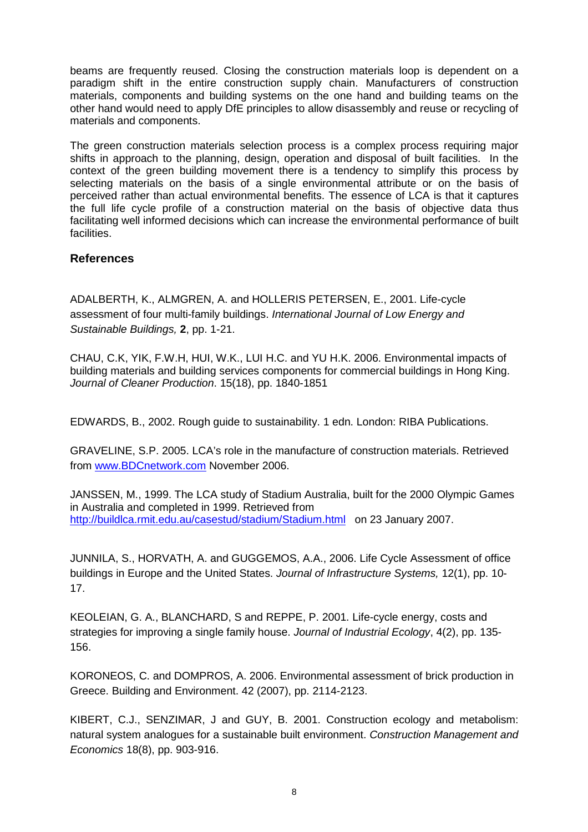beams are frequently reused. Closing the construction materials loop is dependent on a paradigm shift in the entire construction supply chain. Manufacturers of construction materials, components and building systems on the one hand and building teams on the other hand would need to apply DfE principles to allow disassembly and reuse or recycling of materials and components.

The green construction materials selection process is a complex process requiring major shifts in approach to the planning, design, operation and disposal of built facilities. In the context of the green building movement there is a tendency to simplify this process by selecting materials on the basis of a single environmental attribute or on the basis of perceived rather than actual environmental benefits. The essence of LCA is that it captures the full life cycle profile of a construction material on the basis of objective data thus facilitating well informed decisions which can increase the environmental performance of built facilities.

## **References**

ADALBERTH, K., ALMGREN, A. and HOLLERIS PETERSEN, E., 2001. Life-cycle assessment of four multi-family buildings. International Journal of Low Energy and Sustainable Buildings, **2**, pp. 1-21.

CHAU, C.K, YIK, F.W.H, HUI, W.K., LUI H.C. and YU H.K. 2006. Environmental impacts of building materials and building services components for commercial buildings in Hong King. Journal of Cleaner Production. 15(18), pp. 1840-1851

EDWARDS, B., 2002. Rough guide to sustainability. 1 edn. London: RIBA Publications.

GRAVELINE, S.P. 2005. LCA's role in the manufacture of construction materials. Retrieved from www.BDCnetwork.com November 2006.

JANSSEN, M., 1999. The LCA study of Stadium Australia, built for the 2000 Olympic Games in Australia and completed in 1999. Retrieved from http://buildlca.rmit.edu.au/casestud/stadium/Stadium.html on 23 January 2007.

JUNNILA, S., HORVATH, A. and GUGGEMOS, A.A., 2006. Life Cycle Assessment of office buildings in Europe and the United States. Journal of Infrastructure Systems, 12(1), pp. 10- 17.

KEOLEIAN, G. A., BLANCHARD, S and REPPE, P. 2001. Life-cycle energy, costs and strategies for improving a single family house. Journal of Industrial Ecology, 4(2), pp. 135-156.

KORONEOS, C. and DOMPROS, A. 2006. Environmental assessment of brick production in Greece. Building and Environment. 42 (2007), pp. 2114-2123.

KIBERT, C.J., SENZIMAR, J and GUY, B. 2001. Construction ecology and metabolism: natural system analogues for a sustainable built environment. Construction Management and Economics 18(8), pp. 903-916.